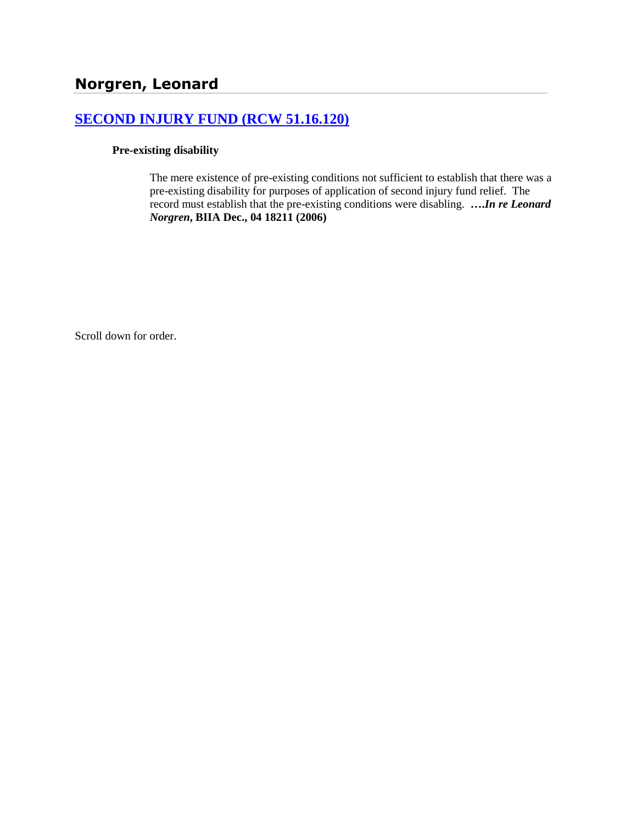# **[SECOND INJURY FUND \(RCW 51.16.120\)](http://www.biia.wa.gov/SDSubjectIndex.html#SECOND_INJURY_FUND)**

#### **Pre-existing disability**

The mere existence of pre-existing conditions not sufficient to establish that there was a pre-existing disability for purposes of application of second injury fund relief. The record must establish that the pre-existing conditions were disabling. **….***In re Leonard Norgren***, BIIA Dec., 04 18211 (2006)**

Scroll down for order.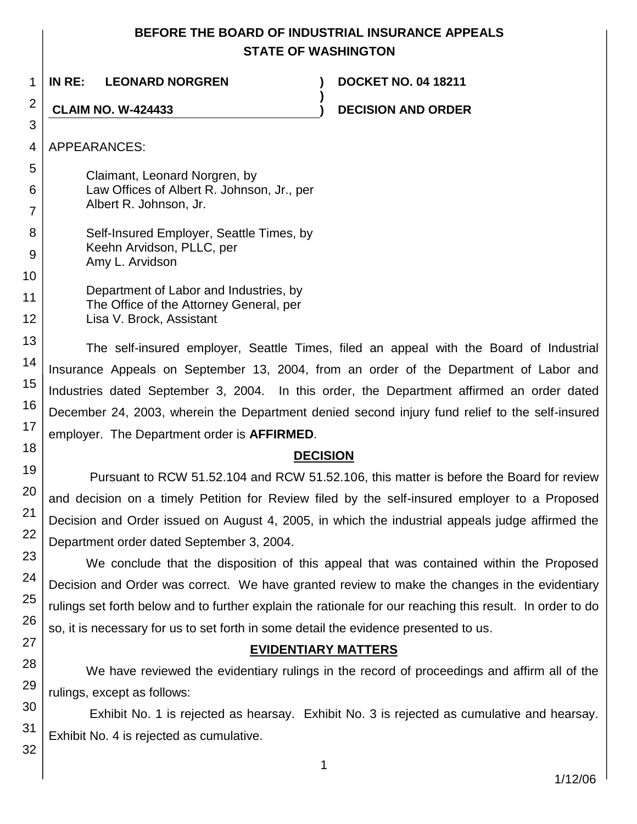# **BEFORE THE BOARD OF INDUSTRIAL INSURANCE APPEALS STATE OF WASHINGTON**

**)**

1 **IN RE: LEONARD NORGREN ) DOCKET NO. 04 18211**

**CLAIM NO. W-424433 ) DECISION AND ORDER**

APPEARANCES:

2

3

4

5

6

7

11

12

Claimant, Leonard Norgren, by Law Offices of Albert R. Johnson, Jr., per Albert R. Johnson, Jr.

8 9 10 Self-Insured Employer, Seattle Times, by Keehn Arvidson, PLLC, per Amy L. Arvidson

> Department of Labor and Industries, by The Office of the Attorney General, per Lisa V. Brock, Assistant

The self-insured employer, Seattle Times, filed an appeal with the Board of Industrial Insurance Appeals on September 13, 2004, from an order of the Department of Labor and Industries dated September 3, 2004. In this order, the Department affirmed an order dated December 24, 2003, wherein the Department denied second injury fund relief to the self-insured employer. The Department order is **AFFIRMED**.

# **DECISION**

Pursuant to RCW 51.52.104 and RCW 51.52.106, this matter is before the Board for review and decision on a timely Petition for Review filed by the self-insured employer to a Proposed Decision and Order issued on August 4, 2005, in which the industrial appeals judge affirmed the Department order dated September 3, 2004.

We conclude that the disposition of this appeal that was contained within the Proposed Decision and Order was correct. We have granted review to make the changes in the evidentiary rulings set forth below and to further explain the rationale for our reaching this result. In order to do so, it is necessary for us to set forth in some detail the evidence presented to us.

# **EVIDENTIARY MATTERS**

We have reviewed the evidentiary rulings in the record of proceedings and affirm all of the rulings, except as follows:

Exhibit No. 1 is rejected as hearsay. Exhibit No. 3 is rejected as cumulative and hearsay. Exhibit No. 4 is rejected as cumulative.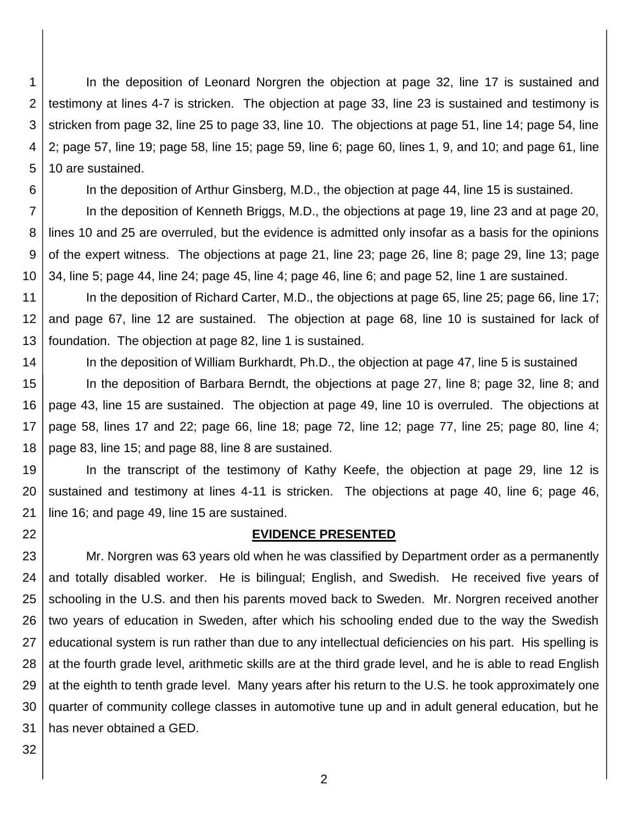1 2 3 4 5 In the deposition of Leonard Norgren the objection at page 32, line 17 is sustained and testimony at lines 4-7 is stricken. The objection at page 33, line 23 is sustained and testimony is stricken from page 32, line 25 to page 33, line 10. The objections at page 51, line 14; page 54, line 2; page 57, line 19; page 58, line 15; page 59, line 6; page 60, lines 1, 9, and 10; and page 61, line 10 are sustained.

6

In the deposition of Arthur Ginsberg, M.D., the objection at page 44, line 15 is sustained.

7 8 9 10 In the deposition of Kenneth Briggs, M.D., the objections at page 19, line 23 and at page 20, lines 10 and 25 are overruled, but the evidence is admitted only insofar as a basis for the opinions of the expert witness. The objections at page 21, line 23; page 26, line 8; page 29, line 13; page 34, line 5; page 44, line 24; page 45, line 4; page 46, line 6; and page 52, line 1 are sustained.

11 12 13 In the deposition of Richard Carter, M.D., the objections at page 65, line 25; page 66, line 17; and page 67, line 12 are sustained. The objection at page 68, line 10 is sustained for lack of foundation. The objection at page 82, line 1 is sustained.

14 15 16 17 18 In the deposition of William Burkhardt, Ph.D., the objection at page 47, line 5 is sustained In the deposition of Barbara Berndt, the objections at page 27, line 8; page 32, line 8; and page 43, line 15 are sustained. The objection at page 49, line 10 is overruled. The objections at page 58, lines 17 and 22; page 66, line 18; page 72, line 12; page 77, line 25; page 80, line 4; page 83, line 15; and page 88, line 8 are sustained.

19 20 21 In the transcript of the testimony of Kathy Keefe, the objection at page 29, line 12 is sustained and testimony at lines 4-11 is stricken. The objections at page 40, line 6; page 46, line 16; and page 49, line 15 are sustained.

### **EVIDENCE PRESENTED**

23 24 25 26 27 28 29 30 31 Mr. Norgren was 63 years old when he was classified by Department order as a permanently and totally disabled worker. He is bilingual; English, and Swedish. He received five years of schooling in the U.S. and then his parents moved back to Sweden. Mr. Norgren received another two years of education in Sweden, after which his schooling ended due to the way the Swedish educational system is run rather than due to any intellectual deficiencies on his part. His spelling is at the fourth grade level, arithmetic skills are at the third grade level, and he is able to read English at the eighth to tenth grade level. Many years after his return to the U.S. he took approximately one quarter of community college classes in automotive tune up and in adult general education, but he has never obtained a GED.

32

22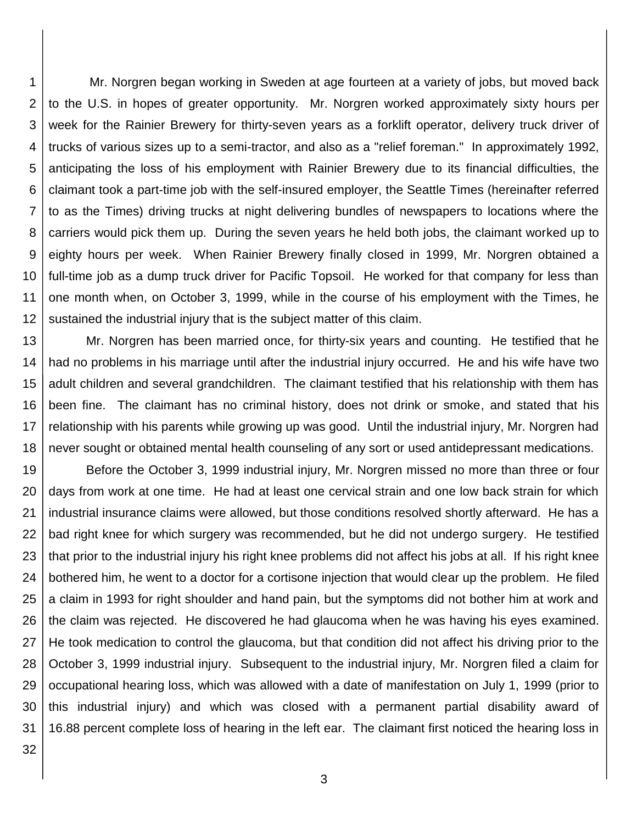1 2 3 4 5 6 7 8 9 10 11 12 Mr. Norgren began working in Sweden at age fourteen at a variety of jobs, but moved back to the U.S. in hopes of greater opportunity. Mr. Norgren worked approximately sixty hours per week for the Rainier Brewery for thirty-seven years as a forklift operator, delivery truck driver of trucks of various sizes up to a semi-tractor, and also as a "relief foreman." In approximately 1992, anticipating the loss of his employment with Rainier Brewery due to its financial difficulties, the claimant took a part-time job with the self-insured employer, the Seattle Times (hereinafter referred to as the Times) driving trucks at night delivering bundles of newspapers to locations where the carriers would pick them up. During the seven years he held both jobs, the claimant worked up to eighty hours per week. When Rainier Brewery finally closed in 1999, Mr. Norgren obtained a full-time job as a dump truck driver for Pacific Topsoil. He worked for that company for less than one month when, on October 3, 1999, while in the course of his employment with the Times, he sustained the industrial injury that is the subject matter of this claim.

13 14 15 16 17 18 Mr. Norgren has been married once, for thirty-six years and counting. He testified that he had no problems in his marriage until after the industrial injury occurred. He and his wife have two adult children and several grandchildren. The claimant testified that his relationship with them has been fine. The claimant has no criminal history, does not drink or smoke, and stated that his relationship with his parents while growing up was good. Until the industrial injury, Mr. Norgren had never sought or obtained mental health counseling of any sort or used antidepressant medications.

19 20 21 22 23 24 25 26 27 28 29 30 31 Before the October 3, 1999 industrial injury, Mr. Norgren missed no more than three or four days from work at one time. He had at least one cervical strain and one low back strain for which industrial insurance claims were allowed, but those conditions resolved shortly afterward. He has a bad right knee for which surgery was recommended, but he did not undergo surgery. He testified that prior to the industrial injury his right knee problems did not affect his jobs at all. If his right knee bothered him, he went to a doctor for a cortisone injection that would clear up the problem. He filed a claim in 1993 for right shoulder and hand pain, but the symptoms did not bother him at work and the claim was rejected. He discovered he had glaucoma when he was having his eyes examined. He took medication to control the glaucoma, but that condition did not affect his driving prior to the October 3, 1999 industrial injury. Subsequent to the industrial injury, Mr. Norgren filed a claim for occupational hearing loss, which was allowed with a date of manifestation on July 1, 1999 (prior to this industrial injury) and which was closed with a permanent partial disability award of 16.88 percent complete loss of hearing in the left ear. The claimant first noticed the hearing loss in

32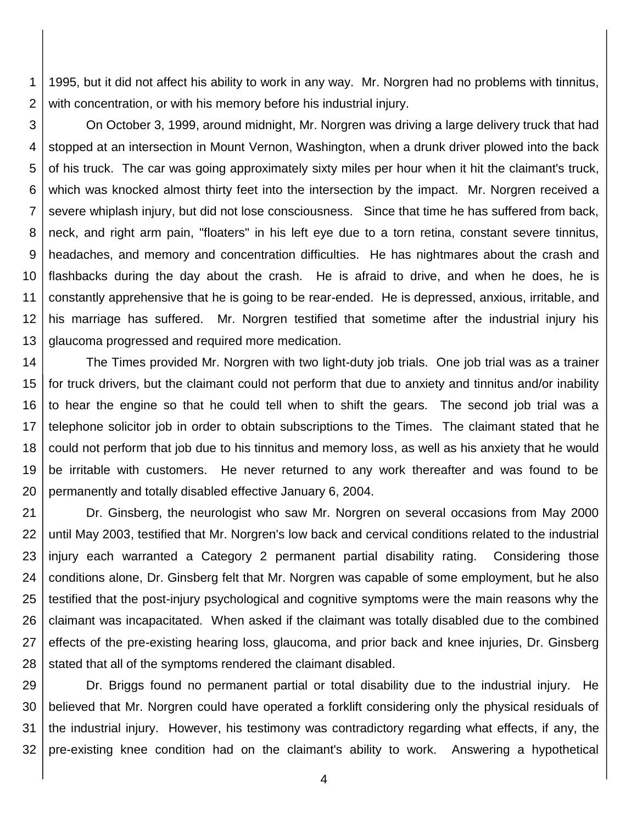1 2 1995, but it did not affect his ability to work in any way. Mr. Norgren had no problems with tinnitus, with concentration, or with his memory before his industrial injury.

3 4 5 6 7 8 9 10 11 12 13 On October 3, 1999, around midnight, Mr. Norgren was driving a large delivery truck that had stopped at an intersection in Mount Vernon, Washington, when a drunk driver plowed into the back of his truck. The car was going approximately sixty miles per hour when it hit the claimant's truck, which was knocked almost thirty feet into the intersection by the impact. Mr. Norgren received a severe whiplash injury, but did not lose consciousness. Since that time he has suffered from back, neck, and right arm pain, "floaters" in his left eye due to a torn retina, constant severe tinnitus, headaches, and memory and concentration difficulties. He has nightmares about the crash and flashbacks during the day about the crash. He is afraid to drive, and when he does, he is constantly apprehensive that he is going to be rear-ended. He is depressed, anxious, irritable, and his marriage has suffered. Mr. Norgren testified that sometime after the industrial injury his glaucoma progressed and required more medication.

14 15 16 17 18 19 20 The Times provided Mr. Norgren with two light-duty job trials. One job trial was as a trainer for truck drivers, but the claimant could not perform that due to anxiety and tinnitus and/or inability to hear the engine so that he could tell when to shift the gears. The second job trial was a telephone solicitor job in order to obtain subscriptions to the Times. The claimant stated that he could not perform that job due to his tinnitus and memory loss, as well as his anxiety that he would be irritable with customers. He never returned to any work thereafter and was found to be permanently and totally disabled effective January 6, 2004.

21 22 23 24 25 26 27 28 Dr. Ginsberg, the neurologist who saw Mr. Norgren on several occasions from May 2000 until May 2003, testified that Mr. Norgren's low back and cervical conditions related to the industrial injury each warranted a Category 2 permanent partial disability rating. Considering those conditions alone, Dr. Ginsberg felt that Mr. Norgren was capable of some employment, but he also testified that the post-injury psychological and cognitive symptoms were the main reasons why the claimant was incapacitated. When asked if the claimant was totally disabled due to the combined effects of the pre-existing hearing loss, glaucoma, and prior back and knee injuries, Dr. Ginsberg stated that all of the symptoms rendered the claimant disabled.

29 30 31 32 Dr. Briggs found no permanent partial or total disability due to the industrial injury. He believed that Mr. Norgren could have operated a forklift considering only the physical residuals of the industrial injury. However, his testimony was contradictory regarding what effects, if any, the pre-existing knee condition had on the claimant's ability to work. Answering a hypothetical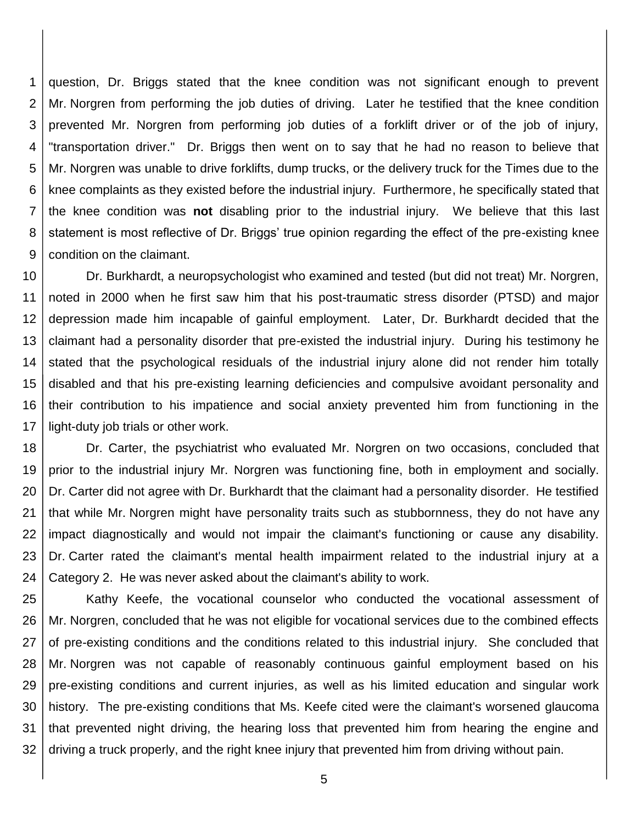1 2 3 4 5 6 7 8 9 question, Dr. Briggs stated that the knee condition was not significant enough to prevent Mr. Norgren from performing the job duties of driving. Later he testified that the knee condition prevented Mr. Norgren from performing job duties of a forklift driver or of the job of injury, "transportation driver." Dr. Briggs then went on to say that he had no reason to believe that Mr. Norgren was unable to drive forklifts, dump trucks, or the delivery truck for the Times due to the knee complaints as they existed before the industrial injury. Furthermore, he specifically stated that the knee condition was **not** disabling prior to the industrial injury. We believe that this last statement is most reflective of Dr. Briggs' true opinion regarding the effect of the pre-existing knee condition on the claimant.

10 11 12 13 14 15 16 17 Dr. Burkhardt, a neuropsychologist who examined and tested (but did not treat) Mr. Norgren, noted in 2000 when he first saw him that his post-traumatic stress disorder (PTSD) and major depression made him incapable of gainful employment. Later, Dr. Burkhardt decided that the claimant had a personality disorder that pre-existed the industrial injury. During his testimony he stated that the psychological residuals of the industrial injury alone did not render him totally disabled and that his pre-existing learning deficiencies and compulsive avoidant personality and their contribution to his impatience and social anxiety prevented him from functioning in the light-duty job trials or other work.

18 19 20 21 22 23 24 Dr. Carter, the psychiatrist who evaluated Mr. Norgren on two occasions, concluded that prior to the industrial injury Mr. Norgren was functioning fine, both in employment and socially. Dr. Carter did not agree with Dr. Burkhardt that the claimant had a personality disorder. He testified that while Mr. Norgren might have personality traits such as stubbornness, they do not have any impact diagnostically and would not impair the claimant's functioning or cause any disability. Dr. Carter rated the claimant's mental health impairment related to the industrial injury at a Category 2. He was never asked about the claimant's ability to work.

25 26 27 28 29 30 31 32 Kathy Keefe, the vocational counselor who conducted the vocational assessment of Mr. Norgren, concluded that he was not eligible for vocational services due to the combined effects of pre-existing conditions and the conditions related to this industrial injury. She concluded that Mr. Norgren was not capable of reasonably continuous gainful employment based on his pre-existing conditions and current injuries, as well as his limited education and singular work history. The pre-existing conditions that Ms. Keefe cited were the claimant's worsened glaucoma that prevented night driving, the hearing loss that prevented him from hearing the engine and driving a truck properly, and the right knee injury that prevented him from driving without pain.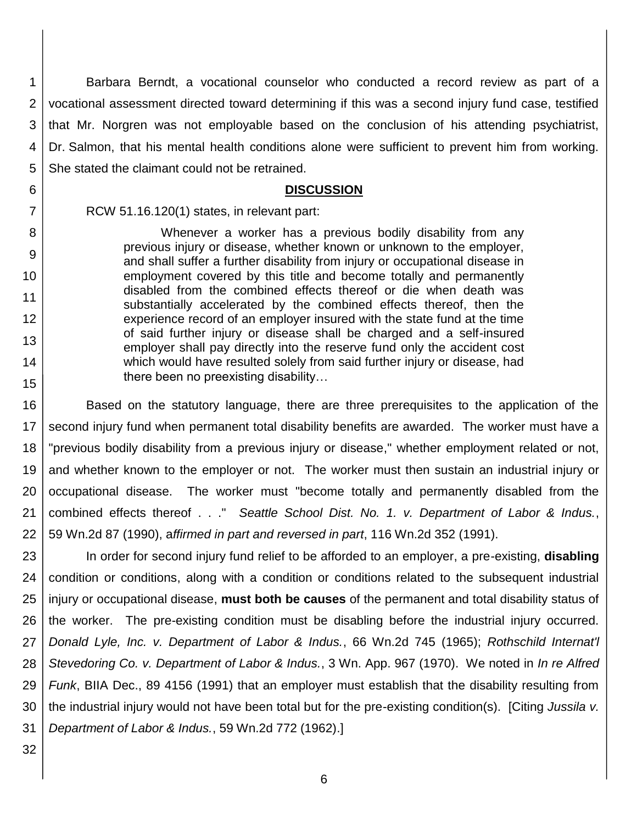1 2 3 4 5 Barbara Berndt, a vocational counselor who conducted a record review as part of a vocational assessment directed toward determining if this was a second injury fund case, testified that Mr. Norgren was not employable based on the conclusion of his attending psychiatrist, Dr. Salmon, that his mental health conditions alone were sufficient to prevent him from working. She stated the claimant could not be retrained.

#### **DISCUSSION**

RCW 51.16.120(1) states, in relevant part:

Whenever a worker has a previous bodily disability from any previous injury or disease, whether known or unknown to the employer, and shall suffer a further disability from injury or occupational disease in employment covered by this title and become totally and permanently disabled from the combined effects thereof or die when death was substantially accelerated by the combined effects thereof, then the experience record of an employer insured with the state fund at the time of said further injury or disease shall be charged and a self-insured employer shall pay directly into the reserve fund only the accident cost which would have resulted solely from said further injury or disease, had there been no preexisting disability…

16 17 18 19 20 21 22 Based on the statutory language, there are three prerequisites to the application of the second injury fund when permanent total disability benefits are awarded. The worker must have a "previous bodily disability from a previous injury or disease," whether employment related or not, and whether known to the employer or not. The worker must then sustain an industrial injury or occupational disease. The worker must "become totally and permanently disabled from the combined effects thereof . . ." *Seattle School Dist. No. 1. v. Department of Labor & Indus.*, 59 Wn.2d 87 (1990), a*ffirmed in part and reversed in part*, 116 Wn.2d 352 (1991).

23 24 25 26 27 28 29 30 31 In order for second injury fund relief to be afforded to an employer, a pre-existing, **disabling** condition or conditions, along with a condition or conditions related to the subsequent industrial injury or occupational disease, **must both be causes** of the permanent and total disability status of the worker. The pre-existing condition must be disabling before the industrial injury occurred. *Donald Lyle, Inc. v. Department of Labor & Indus.*, 66 Wn.2d 745 (1965); *Rothschild Internat'l Stevedoring Co. v. Department of Labor & Indus.*, 3 Wn. App. 967 (1970). We noted in *In re Alfred Funk*, BIIA Dec., 89 4156 (1991) that an employer must establish that the disability resulting from the industrial injury would not have been total but for the pre-existing condition(s). [Citing *Jussila v. Department of Labor & Indus.*, 59 Wn.2d 772 (1962).]

32

6

7

8

9

10

11

12

13

14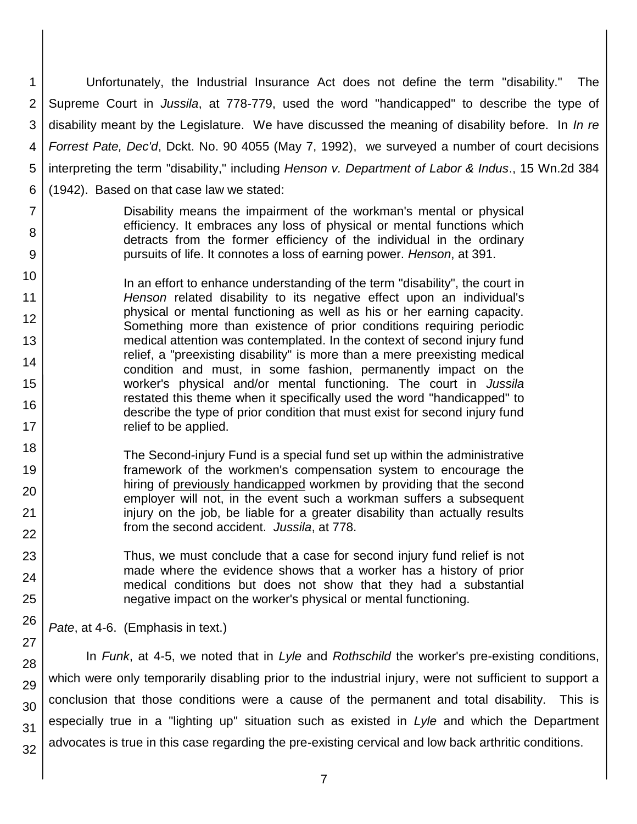1 2 3 4 5 6 Unfortunately, the Industrial Insurance Act does not define the term "disability." The Supreme Court in *Jussila*, at 778-779, used the word "handicapped" to describe the type of disability meant by the Legislature. We have discussed the meaning of disability before. In *In re Forrest Pate, Dec'd*, Dckt. No. 90 4055 (May 7, 1992), we surveyed a number of court decisions interpreting the term "disability," including *Henson v. Department of Labor & Indus*., 15 Wn.2d 384 (1942). Based on that case law we stated:

- 7 8 9 Disability means the impairment of the workman's mental or physical efficiency. It embraces any loss of physical or mental functions which detracts from the former efficiency of the individual in the ordinary pursuits of life. It connotes a loss of earning power. *Henson*, at 391.
- 10 11 12 13 14 15 16 17 In an effort to enhance understanding of the term "disability", the court in *Henson* related disability to its negative effect upon an individual's physical or mental functioning as well as his or her earning capacity. Something more than existence of prior conditions requiring periodic medical attention was contemplated. In the context of second injury fund relief, a "preexisting disability" is more than a mere preexisting medical condition and must, in some fashion, permanently impact on the worker's physical and/or mental functioning. The court in *Jussila* restated this theme when it specifically used the word "handicapped" to describe the type of prior condition that must exist for second injury fund relief to be applied.
	- The Second-injury Fund is a special fund set up within the administrative framework of the workmen's compensation system to encourage the hiring of previously handicapped workmen by providing that the second employer will not, in the event such a workman suffers a subsequent injury on the job, be liable for a greater disability than actually results from the second accident. *Jussila*, at 778.
		- Thus, we must conclude that a case for second injury fund relief is not made where the evidence shows that a worker has a history of prior medical conditions but does not show that they had a substantial negative impact on the worker's physical or mental functioning.

*Pate*, at 4-6. (Emphasis in text.)

18

19

20

21 22

23

24

25

26

27

28 29 30 31 32 In *Funk*, at 4-5, we noted that in *Lyle* and *Rothschild* the worker's pre-existing conditions, which were only temporarily disabling prior to the industrial injury, were not sufficient to support a conclusion that those conditions were a cause of the permanent and total disability. This is especially true in a "lighting up" situation such as existed in *Lyle* and which the Department advocates is true in this case regarding the pre-existing cervical and low back arthritic conditions.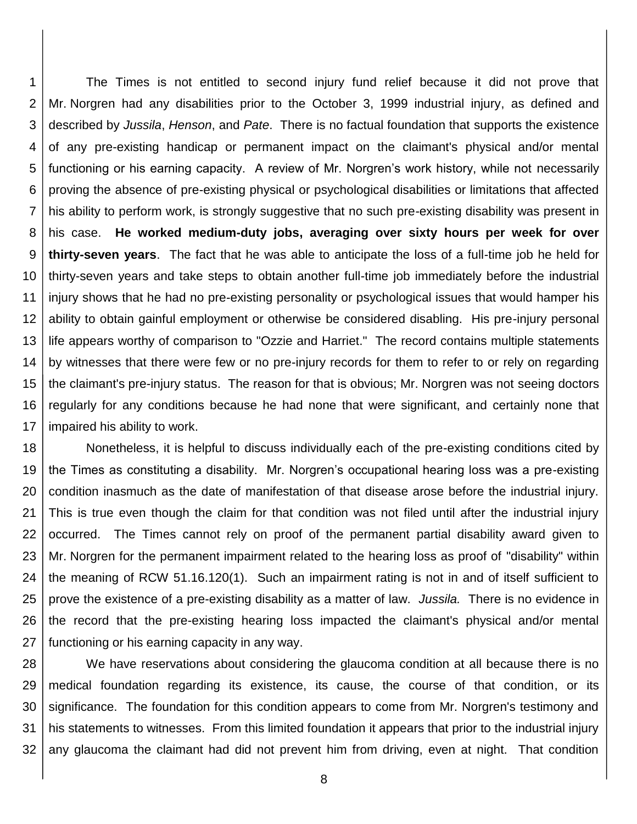1 2 3 4 5 6 7 8 9 10 11 12 13 14 15 16 17 The Times is not entitled to second injury fund relief because it did not prove that Mr. Norgren had any disabilities prior to the October 3, 1999 industrial injury, as defined and described by *Jussila*, *Henson*, and *Pate*. There is no factual foundation that supports the existence of any pre-existing handicap or permanent impact on the claimant's physical and/or mental functioning or his earning capacity. A review of Mr. Norgren's work history, while not necessarily proving the absence of pre-existing physical or psychological disabilities or limitations that affected his ability to perform work, is strongly suggestive that no such pre-existing disability was present in his case. **He worked medium-duty jobs, averaging over sixty hours per week for over thirty-seven years**. The fact that he was able to anticipate the loss of a full-time job he held for thirty-seven years and take steps to obtain another full-time job immediately before the industrial injury shows that he had no pre-existing personality or psychological issues that would hamper his ability to obtain gainful employment or otherwise be considered disabling. His pre-injury personal life appears worthy of comparison to "Ozzie and Harriet." The record contains multiple statements by witnesses that there were few or no pre-injury records for them to refer to or rely on regarding the claimant's pre-injury status. The reason for that is obvious; Mr. Norgren was not seeing doctors regularly for any conditions because he had none that were significant, and certainly none that impaired his ability to work.

18 19 20 21 22 23 24 25 26 27 Nonetheless, it is helpful to discuss individually each of the pre-existing conditions cited by the Times as constituting a disability. Mr. Norgren's occupational hearing loss was a pre-existing condition inasmuch as the date of manifestation of that disease arose before the industrial injury. This is true even though the claim for that condition was not filed until after the industrial injury occurred. The Times cannot rely on proof of the permanent partial disability award given to Mr. Norgren for the permanent impairment related to the hearing loss as proof of "disability" within the meaning of RCW 51.16.120(1). Such an impairment rating is not in and of itself sufficient to prove the existence of a pre-existing disability as a matter of law. *Jussila.* There is no evidence in the record that the pre-existing hearing loss impacted the claimant's physical and/or mental functioning or his earning capacity in any way.

28 29 30 31 32 We have reservations about considering the glaucoma condition at all because there is no medical foundation regarding its existence, its cause, the course of that condition, or its significance. The foundation for this condition appears to come from Mr. Norgren's testimony and his statements to witnesses. From this limited foundation it appears that prior to the industrial injury any glaucoma the claimant had did not prevent him from driving, even at night. That condition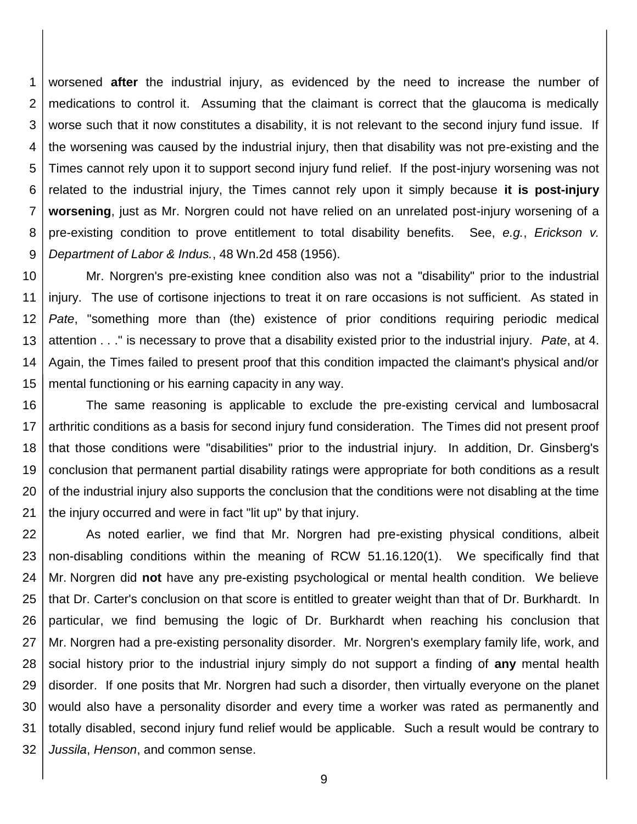1 2 3 4 5 6 7 8 9 worsened **after** the industrial injury, as evidenced by the need to increase the number of medications to control it. Assuming that the claimant is correct that the glaucoma is medically worse such that it now constitutes a disability, it is not relevant to the second injury fund issue. If the worsening was caused by the industrial injury, then that disability was not pre-existing and the Times cannot rely upon it to support second injury fund relief. If the post-injury worsening was not related to the industrial injury, the Times cannot rely upon it simply because **it is post-injury worsening**, just as Mr. Norgren could not have relied on an unrelated post-injury worsening of a pre-existing condition to prove entitlement to total disability benefits. See, *e.g.*, *Erickson v. Department of Labor & Indus.*, 48 Wn.2d 458 (1956).

10 11 12 13 14 15 Mr. Norgren's pre-existing knee condition also was not a "disability" prior to the industrial injury. The use of cortisone injections to treat it on rare occasions is not sufficient. As stated in *Pate*, "something more than (the) existence of prior conditions requiring periodic medical attention . . ." is necessary to prove that a disability existed prior to the industrial injury. *Pate*, at 4. Again, the Times failed to present proof that this condition impacted the claimant's physical and/or mental functioning or his earning capacity in any way.

16 17 18 19 20 21 The same reasoning is applicable to exclude the pre-existing cervical and lumbosacral arthritic conditions as a basis for second injury fund consideration. The Times did not present proof that those conditions were "disabilities" prior to the industrial injury. In addition, Dr. Ginsberg's conclusion that permanent partial disability ratings were appropriate for both conditions as a result of the industrial injury also supports the conclusion that the conditions were not disabling at the time the injury occurred and were in fact "lit up" by that injury.

22 23 24 25 26 27 28 29 30 31 32 As noted earlier, we find that Mr. Norgren had pre-existing physical conditions, albeit non-disabling conditions within the meaning of RCW 51.16.120(1). We specifically find that Mr. Norgren did **not** have any pre-existing psychological or mental health condition. We believe that Dr. Carter's conclusion on that score is entitled to greater weight than that of Dr. Burkhardt. In particular, we find bemusing the logic of Dr. Burkhardt when reaching his conclusion that Mr. Norgren had a pre-existing personality disorder. Mr. Norgren's exemplary family life, work, and social history prior to the industrial injury simply do not support a finding of **any** mental health disorder. If one posits that Mr. Norgren had such a disorder, then virtually everyone on the planet would also have a personality disorder and every time a worker was rated as permanently and totally disabled, second injury fund relief would be applicable. Such a result would be contrary to *Jussila*, *Henson*, and common sense.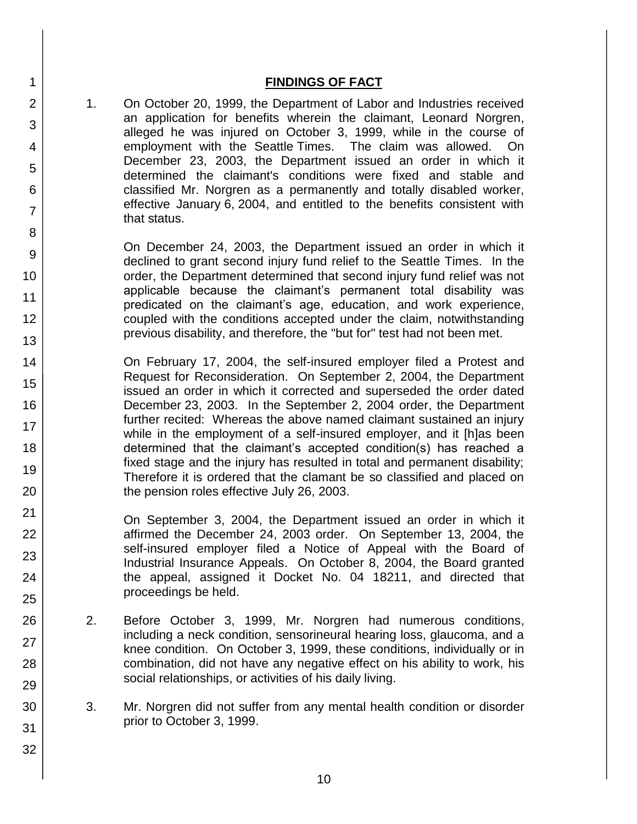## **FINDINGS OF FACT**

1. On October 20, 1999, the Department of Labor and Industries received an application for benefits wherein the claimant, Leonard Norgren, alleged he was injured on October 3, 1999, while in the course of employment with the Seattle Times. The claim was allowed. On December 23, 2003, the Department issued an order in which it determined the claimant's conditions were fixed and stable and classified Mr. Norgren as a permanently and totally disabled worker, effective January 6, 2004, and entitled to the benefits consistent with that status.

On December 24, 2003, the Department issued an order in which it declined to grant second injury fund relief to the Seattle Times. In the order, the Department determined that second injury fund relief was not applicable because the claimant's permanent total disability was predicated on the claimant's age, education, and work experience, coupled with the conditions accepted under the claim, notwithstanding previous disability, and therefore, the "but for" test had not been met.

On February 17, 2004, the self-insured employer filed a Protest and Request for Reconsideration. On September 2, 2004, the Department issued an order in which it corrected and superseded the order dated December 23, 2003. In the September 2, 2004 order, the Department further recited: Whereas the above named claimant sustained an injury while in the employment of a self-insured employer, and it [h]as been determined that the claimant's accepted condition(s) has reached a fixed stage and the injury has resulted in total and permanent disability; Therefore it is ordered that the clamant be so classified and placed on the pension roles effective July 26, 2003.

On September 3, 2004, the Department issued an order in which it affirmed the December 24, 2003 order. On September 13, 2004, the self-insured employer filed a Notice of Appeal with the Board of Industrial Insurance Appeals. On October 8, 2004, the Board granted the appeal, assigned it Docket No. 04 18211, and directed that proceedings be held.

- 2. Before October 3, 1999, Mr. Norgren had numerous conditions, including a neck condition, sensorineural hearing loss, glaucoma, and a knee condition. On October 3, 1999, these conditions, individually or in combination, did not have any negative effect on his ability to work, his social relationships, or activities of his daily living.
- 3. Mr. Norgren did not suffer from any mental health condition or disorder prior to October 3, 1999.

1

2

3

4

5

6

7

8

9

10

11 12

13

14

15

16

17 18

19

20

21 22

23

24 25

26

27

28

29

30

31